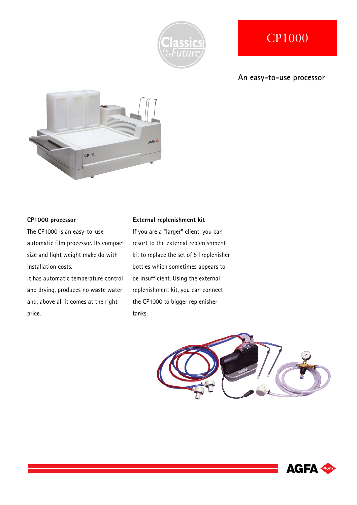

# CP1000

### **An easy-to-use processor**



#### **CP1000 processor**

The CP1000 is an easy-to-use automatic film processor. Its compact size and light weight make do with installation costs.

It has automatic temperature control and drying, produces no waste water and, above all it comes at the right price.

#### **External replenishment kit**

If you are a "larger" client, you can resort to the external replenishment kit to replace the set of 5 l replenisher bottles which sometimes appears to be insufficient. Using the external replenishment kit, you can connect the CP1000 to bigger replenisher tanks.